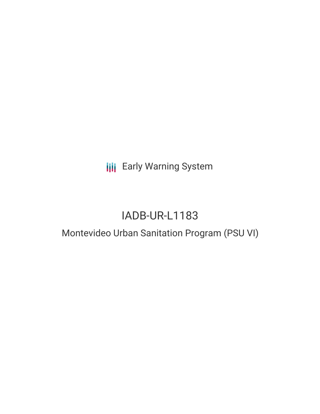**III** Early Warning System

# IADB-UR-L1183

# Montevideo Urban Sanitation Program (PSU VI)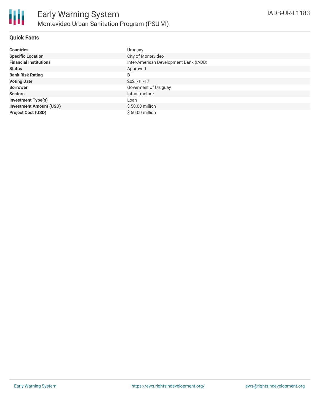

# **Quick Facts**

| <b>Countries</b>               | Uruguay                                |
|--------------------------------|----------------------------------------|
| <b>Specific Location</b>       | City of Montevideo                     |
| <b>Financial Institutions</b>  | Inter-American Development Bank (IADB) |
| <b>Status</b>                  | Approved                               |
| <b>Bank Risk Rating</b>        | B                                      |
| <b>Voting Date</b>             | 2021-11-17                             |
| <b>Borrower</b>                | Goverment of Uruguay                   |
| <b>Sectors</b>                 | Infrastructure                         |
| <b>Investment Type(s)</b>      | Loan                                   |
| <b>Investment Amount (USD)</b> | \$50.00 million                        |
| <b>Project Cost (USD)</b>      | \$50.00 million                        |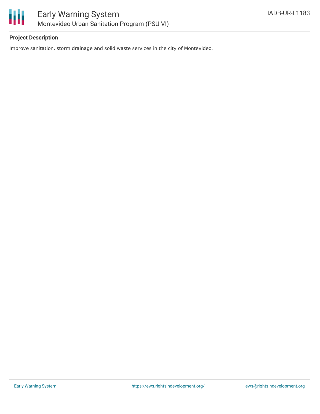

# **Project Description**

Improve sanitation, storm drainage and solid waste services in the city of Montevideo.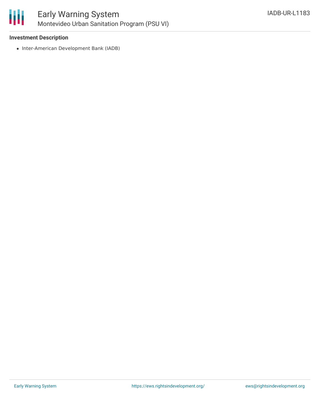

# **Investment Description**

• Inter-American Development Bank (IADB)